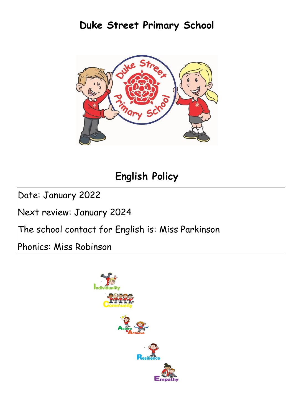# **Duke Street Primary School**



# **English Policy**

Date: January 2022

Next review: January 2024

The school contact for English is: Miss Parkinson

Phonics: Miss Robinson

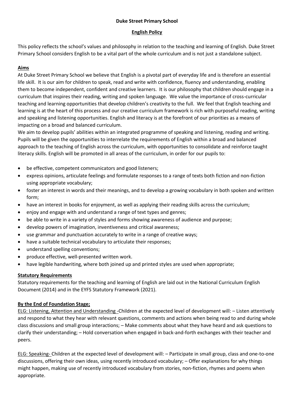## **Duke Street Primary School**

## **English Policy**

This policy reflects the school's values and philosophy in relation to the teaching and learning of English. Duke Street Primary School considers English to be a vital part of the whole curriculum and is not just a standalone subject.

## **Aims**

At Duke Street Primary School we believe that English is a pivotal part of everyday life and is therefore an essential life skill. It is our aim for children to speak, read and write with confidence, fluency and understanding, enabling them to become independent, confident and creative learners. It is our philosophy that children should engage in a curriculum that inspires their reading, writing and spoken language. We value the importance of cross-curricular teaching and learning opportunities that develop children's creativity to the full. We feel that English teaching and learning is at the heart of this process and our creative curriculum framework is rich with purposeful reading, writing and speaking and listening opportunities. English and literacy is at the forefront of our priorities as a means of impacting on a broad and balanced curriculum.

We aim to develop pupils' abilities within an integrated programme of speaking and listening, reading and writing. Pupils will be given the opportunities to interrelate the requirements of English within a broad and balanced approach to the teaching of English across the curriculum, with opportunities to consolidate and reinforce taught literacy skills. English will be promoted in all areas of the curriculum, in order for our pupils to:

- be effective, competent communicators and good listeners;
- express opinions, articulate feelings and formulate responses to a range of texts both fiction and non-fiction using appropriate vocabulary;
- foster an interest in words and their meanings, and to develop a growing vocabulary in both spoken and written form;
- have an interest in books for enjoyment, as well as applying their reading skills across the curriculum;
- enjoy and engage with and understand a range of text types and genres;
- be able to write in a variety of styles and forms showing awareness of audience and purpose;
- develop powers of imagination, inventiveness and critical awareness;
- use grammar and punctuation accurately to write in a range of creative ways;
- have a suitable technical vocabulary to articulate their responses;
- understand spelling conventions;
- produce effective, well-presented written work.
- have legible handwriting, where both joined up and printed styles are used when appropriate;

### **Statutory Requirements**

Statutory requirements for the teaching and learning of English are laid out in the National Curriculum English Document (2014) and in the EYFS Statutory Framework (2021).

# **By the End of Foundation Stage;**

ELG: Listening, Attention and Understanding -Children at the expected level of development will: – Listen attentively and respond to what they hear with relevant questions, comments and actions when being read to and during whole class discussions and small group interactions; – Make comments about what they have heard and ask questions to clarify their understanding; – Hold conversation when engaged in back-and-forth exchanges with their teacher and peers.

ELG: Speaking- Children at the expected level of development will: – Participate in small group, class and one-to-one discussions, offering their own ideas, using recently introduced vocabulary; – Offer explanations for why things might happen, making use of recently introduced vocabulary from stories, non-fiction, rhymes and poems when appropriate.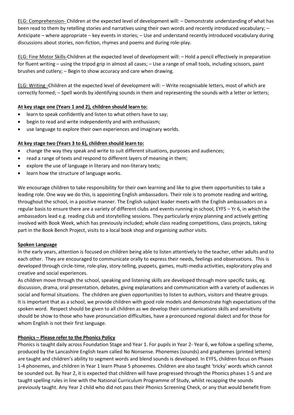ELG: Comprehension- Children at the expected level of development will: – Demonstrate understanding of what has been read to them by retelling stories and narratives using their own words and recently introduced vocabulary; – Anticipate – where appropriate – key events in stories; – Use and understand recently introduced vocabulary during discussions about stories, non-fiction, rhymes and poems and during role-play.

ELG: Fine Motor Skills-Children at the expected level of development will: – Hold a pencil effectively in preparation for fluent writing – using the tripod grip in almost all cases; – Use a range of small tools, including scissors, paint brushes and cutlery; – Begin to show accuracy and care when drawing.

ELG: Writing -Children at the expected level of development will: – Write recognisable letters, most of which are correctly formed; – Spell words by identifying sounds in them and representing the sounds with a letter or letters;

# **At key stage one (Years 1 and 2), children should learn to:**

- learn to speak confidently and listen to what others have to say;
- begin to read and write independently and with enthusiasm;
- use language to explore their own experiences and imaginary worlds.

# **At key stage two (Years 3 to 6), children should learn to:**

- change the way they speak and write to suit different situations, purposes and audiences;
- read a range of texts and respond to different layers of meaning in them;
- explore the use of language in literary and non-literary texts:
- learn how the structure of language works.

We encourage children to take responsibility for their own learning and like to give them opportunities to take a leading role. One way we do this, is appointing English ambassadors. Their role is to promote reading and writing, throughout the school, in a positive manner. The English subject leader meets with the English ambassadors on a regular basis to ensure there are a variety of different clubs and events running in school, EYFS – Yr 6, in which the ambassadors lead e.g. reading club and storytelling sessions. They particularly enjoy planning and actively getting involved with Book Week, which has previously included; whole class reading competitions, class projects, taking part in the Book Bench Project, visits to a local book shop and organising author visits.

### **Spoken Language**

In the early years, attention is focused on children being able to listen attentively to the teacher, other adults and to each other. They are encouraged to communicate orally to express their needs, feelings and observations. This is developed through circle-time, role-play, story-telling, puppets, games, multi-media activities, exploratory play and creative and social experiences.

As children move through the school, speaking and listening skills are developed through more specific tasks, eg. discussion, drama, oral presentation, debates, giving explanations and communication with a variety of audiences in social and formal situations. The children are given opportunities to listen to authors, visitors and theatre groups. It is important that as a school, we provide children with good role models and demonstrate high expectations of the spoken word. Respect should be given to all children as we develop their communications skills and sensitivity should be show to those who have pronunciation difficulties, have a pronounced regional dialect and for those for whom English is not their first language.

# **Phonics – Please refer to the Phonics Policy**

Phonics is taught daily across Foundation Stage and Year 1. For pupils in Year 2- Year 6, we follow a spelling scheme, produced by the Lancashire English team called No Nonsense. Phonemes (sounds) and graphemes (printed letters) are taught and children's ability to segment words and blend sounds is developed. In EYFS, children focus on Phases 1-4 phonemes, and children in Year 1 learn Phase 5 phonemes. Children are also taught 'tricky' words which cannot be sounded out. By Year 2, it is expected that children will have progressed through the Phonics phases 1-5 and are taught spelling rules in line with the National Curriculum Programme of Study, whilst recapping the sounds previously taught. Any Year 2 child who did not pass their Phonics Screening Check, or any that would benefit from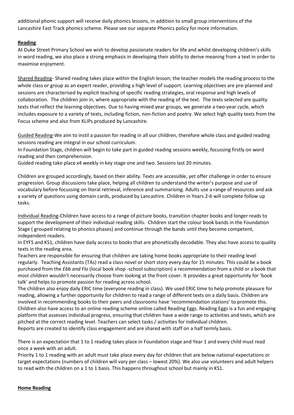additional phonic support will receive daily phonics lessons, in addition to small group interventions of the Lancashire Fast Track phonics scheme. Please see our separate Phonics policy for more information.

# **Reading**

At Duke Street Primary School we wish to develop passionate readers for life and whilst developing children's skills in word reading, we also place a strong emphasis in developing their ability to derive meaning from a text in order to maximise enjoyment.

Shared Reading- Shared reading takes place within the English lesson; the teacher models the reading process to the whole class or group as an expert reader, providing a high level of support. Learning objectives are pre-planned and sessions are characterised by explicit teaching of specific reading strategies, oral response and high levels of collaboration. The children join in, where appropriate with the reading of the text. The texts selected are quality texts that reflect the learning objectives. Due to having mixed year groups, we generate a two-year cycle, which includes exposure to a variety of texts, including fiction, non-fiction and poetry. We select high quality texts from the Focus scheme and also from KLIPs produced by Lancashire.

Guided Reading-We aim to instil a passion for reading in all our children, therefore whole class and guided reading sessions reading are integral in our school curriculum.

In Foundation Stage, children will begin to take part in guided reading sessions weekly, focussing firstly on word reading and then comprehension.

Guided reading take place x4 weekly in key stage one and two. Sessions last 20 minutes.

Children are grouped accordingly, based on their ability. Texts are accessible, yet offer challenge in order to ensure progression. Group discussions take place, helping all children to understand the writer's purpose and use of vocabulary before focussing on literal retrieval, inference and summarising. Adults use a range of resources and ask a variety of questions using domain cards, produced by Lancashire. Children in Years 2-6 will complete follow up tasks.

Individual Reading-Children have access to a range of picture books, transition chapter books and longer reads to support the development of their individual reading skills. Children start the colour book bands in the Foundation Stage ( grouped relating to phonics phases) and continue through the bands until they become competent, independent readers.

In EYFS and KS1, children have daily access to books that are phonetically decodable. They also have access to quality texts in the reading area.

Teachers are responsible for ensuring that children are taking home books appropriate to their reading level regularly. Teaching Assistants (TAs) read a class novel or short story every day for 15 minutes. This could be a book purchased from the *Ebb and Flo* (local book shop -school subscription) a recommendation from a child or a book that most children wouldn't necessarily choose from looking at the front cover. It provides a great opportunity for 'book talk' and helps to promote passion for reading across school.

The children also enjoy daily ERIC time (everyone reading in class). We used ERIC time to help promote pleasure for reading, allowing a further opportunity for children to read a range of different texts on a daily basis. Children are involved in recommending books to their peers and classrooms have 'recommendation stations' to promote this. Children also have access to an online reading scheme online called Reading Eggs. Reading Eggs is a fun and engaging platform that assesses individual progress, ensuring that children have a wide range to activities and texts, which are pitched at the correct reading level. Teachers can select tasks / activities for individual children. Reports are created to identify class engagement and are shared with staff on a half termly basis.

There is an expectation that 1 to 1 reading takes place in Foundation stage and Year 1 and every child must read once a week with an adult.

Priority 1 to 1 reading with an adult must take place every day for children that are below national expectations or target expectations (numbers of children will vary per class – lowest 20%). We also use volunteers and adult helpers to read with the children on a 1 to 1 basis. This happens throughout school but mainly in KS1.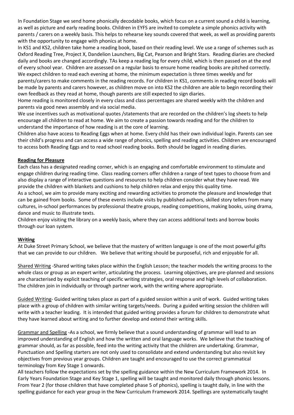In Foundation Stage we send home phonically decodable books, which focus on a current sound a child is learning, as well as picture and early reading books. Children in EYFS are invited to complete a simple phonics activity with parents / carers on a weekly basis. This helps to rehearse key sounds covered that week, as well as providing parents with the opportunity to engage with phonics at home.

In KS1 and KS2, children take home a reading book, based on their reading level. We use a range of schemes such as Oxford Reading Tree, Project X, Dandelion Launchers, Big Cat, Pearson and Bright Stars. Reading diaries are checked daily and books are changed accordingly. TAs keep a reading log for every child, which is then passed on at the end of every school year. Children are assessed on a regular basis to ensure home reading books are pitched correctly. We expect children to read each evening at home, the minimum expectation is three times weekly and for parents/carers to make comments in the reading records. For children in KS1, comments in reading record books will be made by parents and carers however, as children move on into KS2 the children are able to begin recording their own feedback as they read at home, though parents are still expected to sign diaries.

Home reading is monitored closely in every class and class percentages are shared weekly with the children and parents via good news assembly and via social media.

We use incentives such as motivational quotes /statements that are recorded on the children's log sheets to help encourage all children to read at home. We aim to create a passion towards reading and for the children to understand the importance of how reading is at the core of learning.

Children also have access to Reading Eggs when at home. Every child has their own individual login. Parents can see their child's progress and can access a wide range of phonics, spelling and reading activities. Children are encouraged to access both Reading Eggs and to read school reading books. Both should be logged in reading diaries.

# **Reading for Pleasure**

Each class has a designated reading corner, which is an engaging and comfortable environment to stimulate and engage children during reading time. Class reading corners offer children a range of text types to choose from and also display a range of interactive questions and resources to help children consider what they have read. We provide the children with blankets and cushions to help children relax and enjoy this quality time.

As a school, we aim to provide many exciting and rewarding activities to promote the pleasure and knowledge that can be gained from books. Some of these events include visits by published authors, skilled story tellers from many cultures, in-school performances by professional theatre groups, reading competitions, making books, using drama, dance and music to illustrate texts.

Children enjoy visiting the library on a weekly basis, where they can access additional texts and borrow books through our loan system.

### **Writing**

At Duke Street Primary School, we believe that the mastery of written language is one of the most powerful gifts that we can provide to our children. We believe that writing should be purposeful, rich and enjoyable for all.

Shared Writing -Shared writing takes place within the English Lesson; the teacher models the writing process to the whole class or group as an expert writer, articulating the process. Learning objectives, are pre-planned and sessions are characterised by explicit teaching of specific writing strategies, oral response and high levels of collaboration. The children join in individually or through partner work, with the writing where appropriate.

Guided Writing- Guided writing takes place as part of a guided session within a unit of work. Guided writing takes place with a group of children with similar writing targets/needs. During a guided writing session the children will write with a teacher leading. It is intended that guided writing provides a forum for children to demonstrate what they have learned about writing and to further develop and extend their writing skills.

Grammar and Spelling -As a school, we firmly believe that a sound understanding of grammar will lead to an improved understanding of English and how the written and oral language works. We believe that the teaching of grammar should, as far as possible, feed into the writing activity that the children are undertaking. Grammar, Punctuation and Spelling starters are not only used to consolidate and extend understanding but also revisit key objectives from previous year groups. Children are taught and encouraged to use the correct grammatical terminology from Key Stage 1 onwards.

All teachers follow the expectations set by the spelling guidance within the New Curriculum Framework 2014. In Early Years Foundation Stage and Key Stage 1, spelling will be taught and monitored daily through phonics lessons. From Year 2 (for those children that have completed phase 5 of phonics), spelling is taught daily, in line with the spelling guidance for each year group in the New Curriculum Framework 2014. Spellings are systematically taught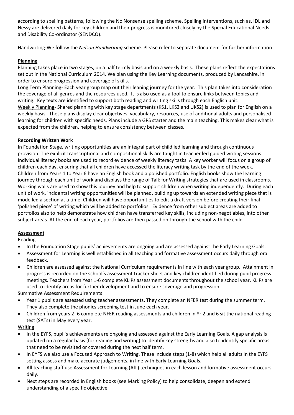according to spelling patterns, following the No Nonsense spelling scheme. Spelling interventions, such as, IDL and Nessy are delivered daily for key children and their progress is monitored closely by the Special Educational Needs and Disability Co-ordinator (SENDCO).

Handwriting-We follow the *Nelson Handwriting* scheme. Please refer to separate document for further information.

# **Planning**

Planning takes place in two stages, on a half termly basis and on a weekly basis. These plans reflect the expectations set out in the National Curriculum 2014. We plan using the Key Learning documents, produced by Lancashire, in order to ensure progression and coverage of skills.

Long Term Planning- Each year group map out their leaning journey for the year. This plan takes into consideration the coverage of all genres and the resources used. It is also used as a tool to ensure links between topics and writing. Key texts are identified to support both reading and writing skills through each English unit. Weekly Planning- Shared planning with key stage departments (KS1, LKS2 and UKS2) is used to plan for English on a weekly basis. These plans display clear objectives, vocabulary, resources, use of additional adults and personalised learning for children with specific needs. Plans include a GPS starter and the main teaching. This makes clear what is expected from the children, helping to ensure consistency between classes.

# **Recording Written Work**

In Foundation Stage, writing opportunities are an integral part of child led learning and through continuous provision. The explicit transcriptional and compositional skills are taught in teacher led guided writing sessions. Individual literacy books are used to record evidence of weekly literacy tasks. A key worker will focus on a group of children each day, ensuring that all children have accessed the literacy writing task by the end of the week. Children from Years 1 to Year 6 have an English book and a polished portfolio. English books show the learning journey through each unit of work and displays the range of Talk for Writing strategies that are used in classrooms. Working walls are used to show this journey and help to support children when writing independently. During each unit of work, incidental writing opportunities will be planned, building up towards an extended writing piece that is modelled a section at a time. Children will have opportunities to edit a draft version before creating their final 'polished piece' of writing which will be added to portfolios. Evidence from other subject areas are added to portfolios also to help demonstrate how children have transferred key skills, including non-negotiables, into other subject areas. At the end of each year, portfolios are then passed on through the school with the child.

# **Assessment**

**Reading** 

- In the Foundation Stage pupils' achievements are ongoing and are assessed against the Early Learning Goals.
- Assessment for Learning is well established in all teaching and formative assessment occurs daily through oral feedback.
- Children are assessed against the National Curriculum requirements in line with each year group. Attainment in progress is recorded on the school's assessment tracker sheet and key children identified during pupil progress meetings. Teachers from Year 1-6 complete KLIPs assessment documents throughout the school year. KLIPs are used to identify areas for further development and to ensure coverage and progression.

# Summative Assessment Requirements

- Year 1 pupils are assessed using teacher assessments. They complete an NFER test during the summer term. They also complete the phonics screening test in June each year.
- Children from years 2- 6 complete NFER reading assessments and children in Yr 2 and 6 sit the national reading test (SATs) in May every year.

# Writing

- In the EYFS, pupil's achievements are ongoing and assessed against the Early Learning Goals. A gap analysis is updated on a regular basis (for reading and writing) to identify key strengths and also to identify specific areas that need to be revisited or covered during the next half term.
- In EYFS we also use a Focused Approach to Writing. These include steps (1-8) which help all adults in the EYFS setting assess and make accurate judgements, in line with Early Learning Goals.
- All teaching staff use Assessment for Learning (AfL) techniques in each lesson and formative assessment occurs daily.
- Next steps are recorded in English books (see Marking Policy) to help consolidate, deepen and extend understanding of a specific objective.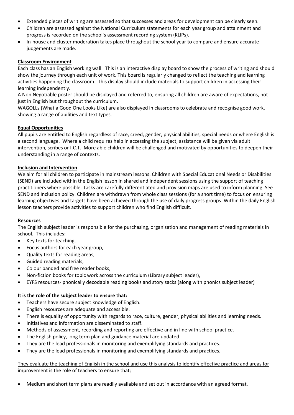- Extended pieces of writing are assessed so that successes and areas for development can be clearly seen.
- Children are assessed against the National Curriculum statements for each year group and attainment and progress is recorded on the school's assessment recording system (KLIPs).
- In-house and cluster moderation takes place throughout the school year to compare and ensure accurate judgements are made.

## **Classroom Environment**

Each class has an English working wall. This is an interactive display board to show the process of writing and should show the journey through each unit of work. This board is regularly changed to reflect the teaching and learning activities happening the classroom. This display should include materials to support children in accessing their learning independently.

A Non Negotiable poster should be displayed and referred to, ensuring all children are aware of expectations, not just in English but throughout the curriculum.

WAGOLLs (What a Good One Looks Like) are also displayed in classrooms to celebrate and recognise good work, showing a range of abilities and text types.

## **Equal Opportunities**

All pupils are entitled to English regardless of race, creed, gender, physical abilities, special needs or where English is a second language. Where a child requires help in accessing the subject, assistance will be given via adult intervention, scribes or I.C.T. More able children will be challenged and motivated by opportunities to deepen their understanding in a range of contexts.

## **Inclusion and Intervention**

We aim for all children to participate in mainstream lessons. Children with Special Educational Needs or Disabilities (SEND) are included within the English lesson in shared and independent sessions using the support of teaching practitioners where possible. Tasks are carefully differentiated and provision maps are used to inform planning. See SEND and Inclusion policy. Children are withdrawn from whole class sessions (for a short time) to focus on ensuring learning objectives and targets have been achieved through the use of daily progress groups. Within the daily English lesson teachers provide activities to support children who find English difficult.

### **Resources**

The English subject leader is responsible for the purchasing, organisation and management of reading materials in school. This includes:

- Key texts for teaching,
- Focus authors for each year group,
- Quality texts for reading areas,
- Guided reading materials,
- Colour banded and free reader books,
- Non-fiction books for topic work across the curriculum (Library subject leader),
- EYFS resources- phonically decodable reading books and story sacks (along with phonics subject leader)

# **It is the role of the subject leader to ensure that:**

- Teachers have secure subject knowledge of English.
- English resources are adequate and accessible.
- There is equality of opportunity with regards to race, culture, gender, physical abilities and learning needs.
- Initiatives and information are disseminated to staff.
- Methods of assessment, recording and reporting are effective and in line with school practice.
- The English policy, long term plan and guidance material are updated.
- They are the lead professionals in monitoring and exemplifying standards and practices.
- They are the lead professionals in monitoring and exemplifying standards and practices.

## They evaluate the teaching of English in the school and use this analysis to identify effective practice and areas for improvement is the role of teachers to ensure that;

• Medium and short term plans are readily available and set out in accordance with an agreed format.